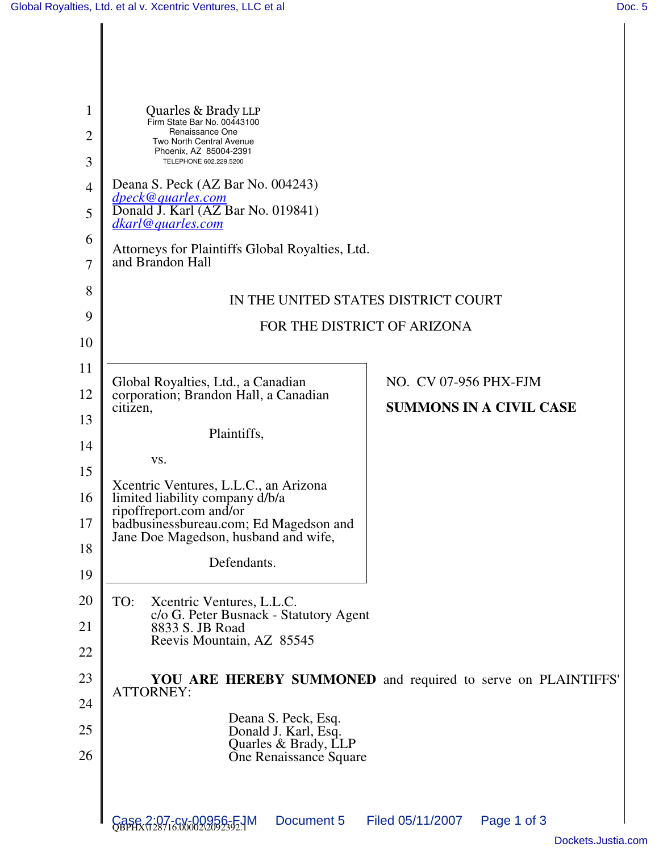| 1<br>$\overline{2}$ | Quarles & Brady LLP<br>Firm State Bar No. 00443100<br>Renaissance One<br><b>Two North Central Avenue</b>  |  |  |
|---------------------|-----------------------------------------------------------------------------------------------------------|--|--|
| 3                   | Phoenix, AZ 85004-2391<br>TELEPHONE 602.229.5200                                                          |  |  |
| $\overline{4}$      | Deana S. Peck (AZ Bar No. 004243)                                                                         |  |  |
| 5                   | dpeck@quarles.com<br>Donald J. Karl (AZ Bar No. 019841)<br>dkarl@quarles.com                              |  |  |
| 6                   | Attorneys for Plaintiffs Global Royalties, Ltd.                                                           |  |  |
| 7                   | and Brandon Hall                                                                                          |  |  |
| 8                   | IN THE UNITED STATES DISTRICT COURT                                                                       |  |  |
| 9                   | FOR THE DISTRICT OF ARIZONA                                                                               |  |  |
| 10                  |                                                                                                           |  |  |
| 11                  | NO. CV 07-956 PHX-FJM<br>Global Royalties, Ltd., a Canadian                                               |  |  |
| 12                  | corporation; Brandon Hall, a Canadian<br><b>SUMMONS IN A CIVIL CASE</b><br>citizen,                       |  |  |
| 13                  | Plaintiffs,                                                                                               |  |  |
| 14                  |                                                                                                           |  |  |
| 15                  | VS.                                                                                                       |  |  |
| 16                  | Xcentric Ventures, L.L.C., an Arizona<br>limited liability company d/b/a                                  |  |  |
| 17                  | ripoffreport.com and/or<br>badbusinessbureau.com; Ed Magedson and<br>Jane Doe Magedson, husband and wife, |  |  |
| 18                  | Defendants.                                                                                               |  |  |
| 19                  |                                                                                                           |  |  |
| 20                  | TO:<br>Xcentric Ventures, L.L.C.<br>c/o G. Peter Busnack - Statutory Agent                                |  |  |
| 21                  | 8833 S. JB Road<br>Reevis Mountain, AZ 85545                                                              |  |  |
| 22                  |                                                                                                           |  |  |
| 23                  | YOU ARE HEREBY SUMMONED and required to serve on PLAINTIFFS'<br><b>ATTORNEY:</b>                          |  |  |
| 24                  | Deana S. Peck, Esq.                                                                                       |  |  |
| 25                  | Donald J. Karl, Esq.<br>Quarles & Brady, LLP                                                              |  |  |
| 26                  | One Renaissance Square                                                                                    |  |  |
|                     |                                                                                                           |  |  |
|                     | Document 5<br>Filed 05/11/2007<br>Page 1 of 3<br>Case 2:07-CV-00<br>OBPHX\128716.00002                    |  |  |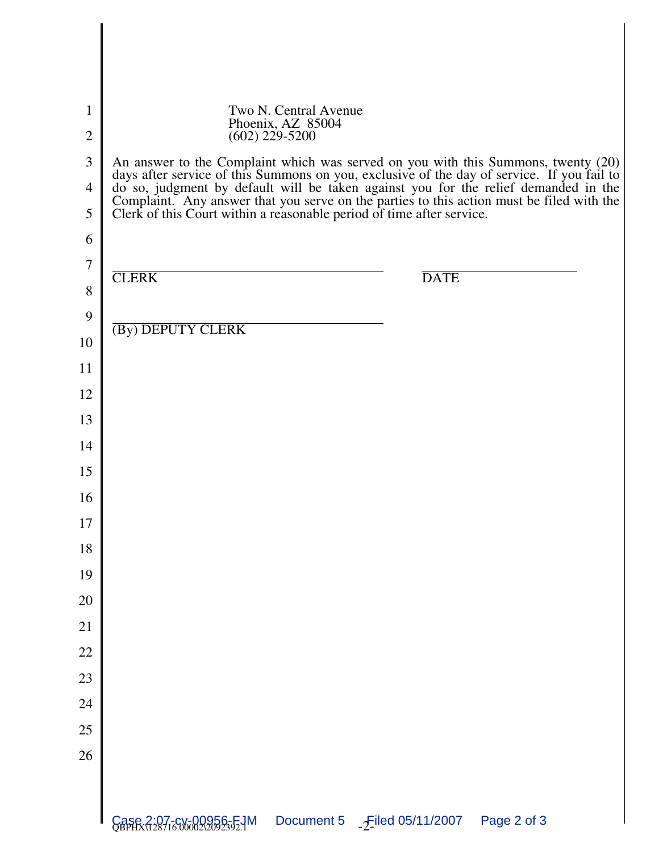| $\mathbf{1}$<br>$\overline{2}$<br>3<br>$\overline{4}$<br>5 | Two N. Central Avenue<br>Phoenix, AZ 85004<br>$(602)$ 229-5200<br>An answer to the Complaint which was served on you with this Summons, twenty (20)<br>days after service of this Summons on you, exclusive of the day of service. If you fail to do so, judgment by default will be taken against you for the relief demanded in the<br>Complaint. Any answer that you serve on the parties to this action must be filed with the<br>Clerk of this Court within a reasonable period of time after service. |  |
|------------------------------------------------------------|-------------------------------------------------------------------------------------------------------------------------------------------------------------------------------------------------------------------------------------------------------------------------------------------------------------------------------------------------------------------------------------------------------------------------------------------------------------------------------------------------------------|--|
| 6                                                          |                                                                                                                                                                                                                                                                                                                                                                                                                                                                                                             |  |
| $\overline{7}$                                             | <b>CLERK</b><br><b>DATE</b>                                                                                                                                                                                                                                                                                                                                                                                                                                                                                 |  |
| 8                                                          |                                                                                                                                                                                                                                                                                                                                                                                                                                                                                                             |  |
| 9<br>10                                                    | (By) DEPUTY CLERK                                                                                                                                                                                                                                                                                                                                                                                                                                                                                           |  |
| 11                                                         |                                                                                                                                                                                                                                                                                                                                                                                                                                                                                                             |  |
| 12                                                         |                                                                                                                                                                                                                                                                                                                                                                                                                                                                                                             |  |
| 13                                                         |                                                                                                                                                                                                                                                                                                                                                                                                                                                                                                             |  |
| 14                                                         |                                                                                                                                                                                                                                                                                                                                                                                                                                                                                                             |  |
| 15                                                         |                                                                                                                                                                                                                                                                                                                                                                                                                                                                                                             |  |
| 16                                                         |                                                                                                                                                                                                                                                                                                                                                                                                                                                                                                             |  |
| 17                                                         |                                                                                                                                                                                                                                                                                                                                                                                                                                                                                                             |  |
| 18                                                         |                                                                                                                                                                                                                                                                                                                                                                                                                                                                                                             |  |
| 19                                                         |                                                                                                                                                                                                                                                                                                                                                                                                                                                                                                             |  |
| 20                                                         |                                                                                                                                                                                                                                                                                                                                                                                                                                                                                                             |  |
| 21                                                         |                                                                                                                                                                                                                                                                                                                                                                                                                                                                                                             |  |
| 22                                                         |                                                                                                                                                                                                                                                                                                                                                                                                                                                                                                             |  |
| 23                                                         |                                                                                                                                                                                                                                                                                                                                                                                                                                                                                                             |  |
| 24                                                         |                                                                                                                                                                                                                                                                                                                                                                                                                                                                                                             |  |
| 25                                                         |                                                                                                                                                                                                                                                                                                                                                                                                                                                                                                             |  |
| 26                                                         |                                                                                                                                                                                                                                                                                                                                                                                                                                                                                                             |  |
|                                                            |                                                                                                                                                                                                                                                                                                                                                                                                                                                                                                             |  |
|                                                            | Case 2:07-cv-00956-FJM<br>Document 5<br>$-$ Filed 05/11/2007<br>Page 2 of 3                                                                                                                                                                                                                                                                                                                                                                                                                                 |  |